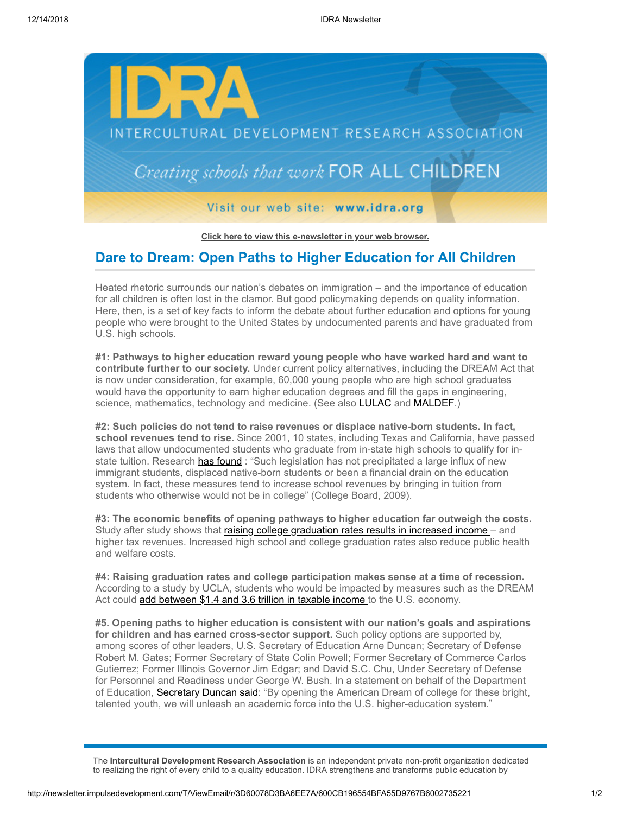

**[Click here to view this e-newsletter in your web browser.](http://newsletter.impulsedevelopment.com/t/r/e/sjyhik/xlycihk/)**

## **Dare to Dream: Open Paths to Higher Education for All Children**

Heated rhetoric surrounds our nation's debates on immigration – and the importance of education for all children is often lost in the clamor. But good policymaking depends on quality information. Here, then, is a set of key facts to inform the debate about further education and options for young people who were brought to the United States by undocumented parents and have graduated from U.S. high schools.

**#1: Pathways to higher education reward young people who have worked hard and want to contribute further to our society.** Under current policy alternatives, including the DREAM Act that is now under consideration, for example, 60,000 young people who are high school graduates would have the opportunity to earn higher education degrees and fill the gaps in engineering, science, mathematics, technology and medicine. (See also **LULAC** and **MALDEF**.)

**#2: Such policies do not tend to raise revenues or displace native-born students. In fact, school revenues tend to rise.** Since 2001, 10 states, including Texas and California, have passed laws that allow undocumented students who graduate from in-state high schools to qualify for instate tuition. Research [has found](http://newsletter.impulsedevelopment.com/t/r/l/sjyhik/xlycihk/t) : "Such legislation has not precipitated a large influx of new immigrant students, displaced native-born students or been a financial drain on the education system. In fact, these measures tend to increase school revenues by bringing in tuition from students who otherwise would not be in college" (College Board, 2009).

**#3: The economic benefits of opening pathways to higher education far outweigh the costs.** Study after study shows that raising college graduation rates results in increased income - and higher tax revenues. Increased high school and college graduation rates also reduce public health and welfare costs.

**#4: Raising graduation rates and college participation makes sense at a time of recession.** According to a study by UCLA, students who would be impacted by measures such as the DREAM Act could [add between \\$1.4 and 3.6 trillion in taxable income t](http://newsletter.impulsedevelopment.com/t/r/l/sjyhik/xlycihk/d)o the U.S. economy.

**#5. Opening paths to higher education is consistent with our nation's goals and aspirations for children and has earned cross-sector support.** Such policy options are supported by, among scores of other leaders, U.S. Secretary of Education Arne Duncan; Secretary of Defense Robert M. Gates; Former Secretary of State Colin Powell; Former Secretary of Commerce Carlos Gutierrez; Former Illinois Governor Jim Edgar; and David S.C. Chu, Under Secretary of Defense for Personnel and Readiness under George W. Bush. In a statement on behalf of the Department of Education, [Secretary Duncan said:](http://newsletter.impulsedevelopment.com/t/r/l/sjyhik/xlycihk/h) "By opening the American Dream of college for these bright, talented youth, we will unleash an academic force into the U.S. higher-education system."

The **Intercultural Development Research Association** is an independent private non-profit organization dedicated to realizing the right of every child to a quality education. IDRA strengthens and transforms public education by